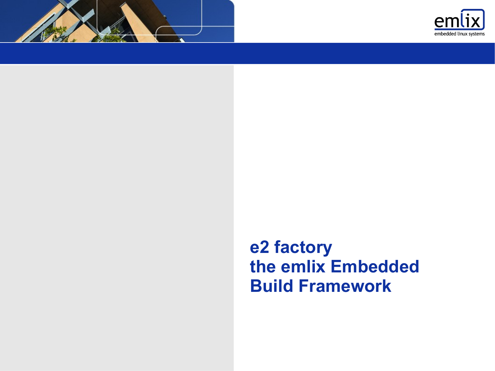



## **e2 factory the emlix Embedded Build Framework**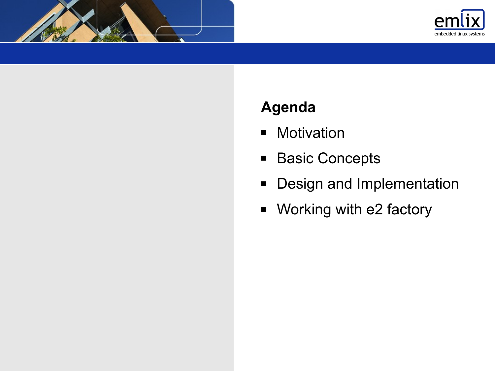



## **Agenda**

- **Motivation**
- Basic Concepts
- **Design and Implementation**
- Working with e2 factory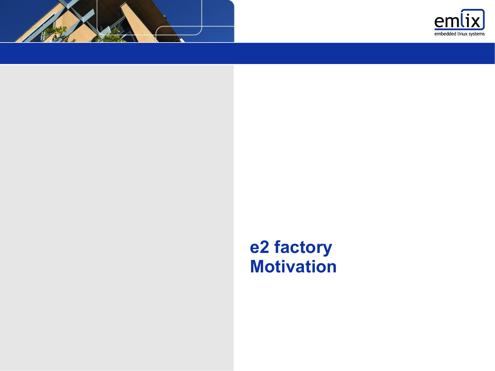



## **e2 factory Motivation**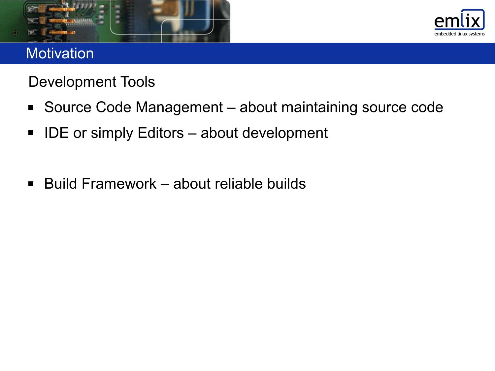



#### **Motivation**

Development Tools

- Source Code Management about maintaining source code
- IDE or simply Editors about development
- Build Framework about reliable builds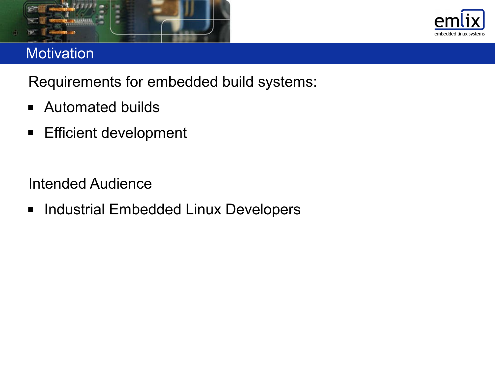



#### **Motivation**

Requirements for embedded build systems:

- Automated builds
- **Efficient development**

Intended Audience

**Industrial Embedded Linux Developers**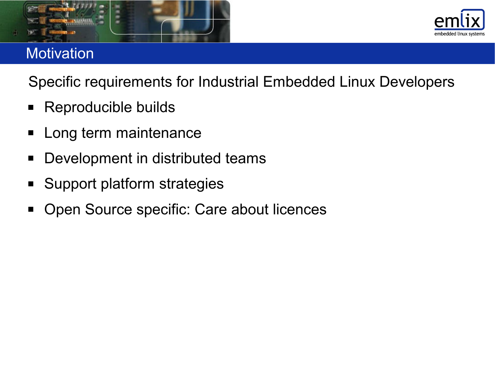



### **Motivation**

Specific requirements for Industrial Embedded Linux Developers

- Reproducible builds
- **Long term maintenance**
- **Development in distributed teams**
- Support platform strategies
- **Open Source specific: Care about licences**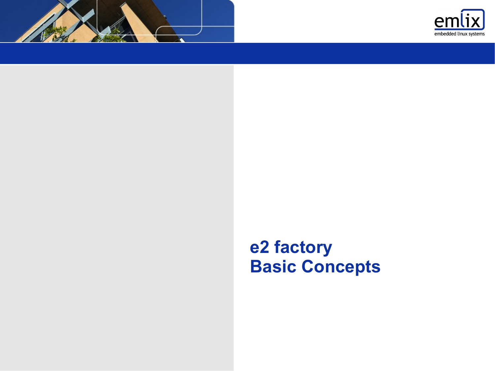



## **e2 factory Basic Concepts**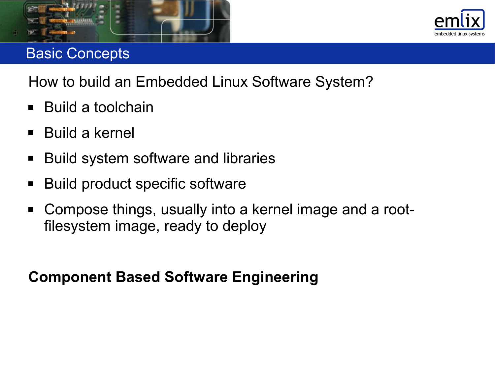



#### Basic Concepts

How to build an Embedded Linux Software System?

- Build a toolchain
- Build a kernel
- Build system software and libraries
- Build product specific software
- Compose things, usually into a kernel image and a rootfilesystem image, ready to deploy

## **Component Based Software Engineering**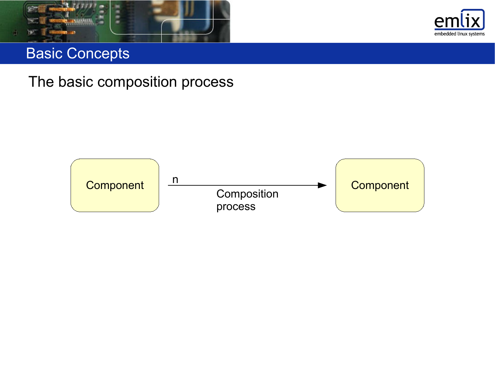



#### Basic Concepts

The basic composition process

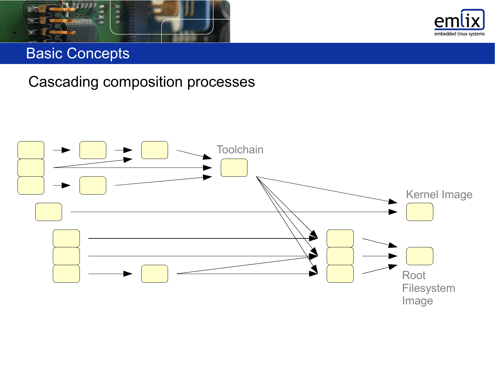



#### Basic Concepts

#### Cascading composition processes

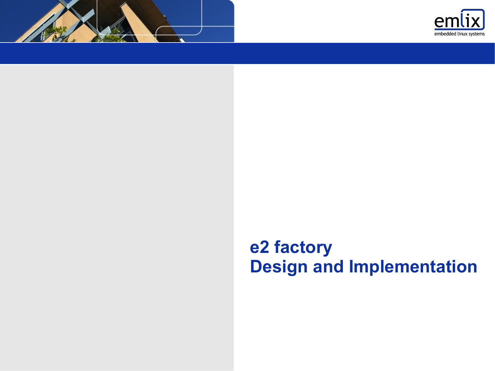



## **e2 factory Design and Implementation**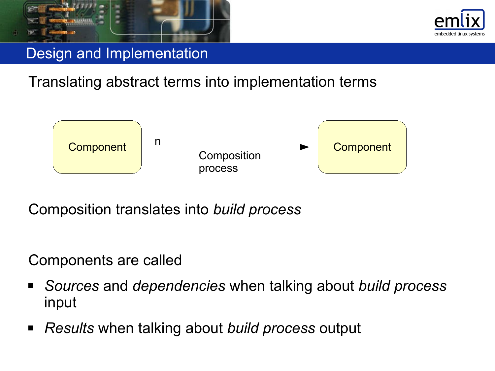



Translating abstract terms into implementation terms



Composition translates into *build process*

Components are called

- *Sources* and *dependencies* when talking about *build process* input
- *Results* when talking about *build process* output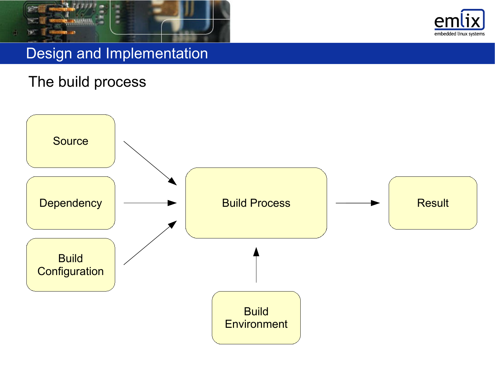



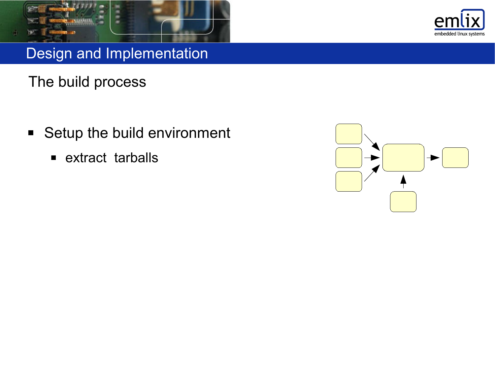



- **Setup the build environment** 
	- **Extract tarballs**

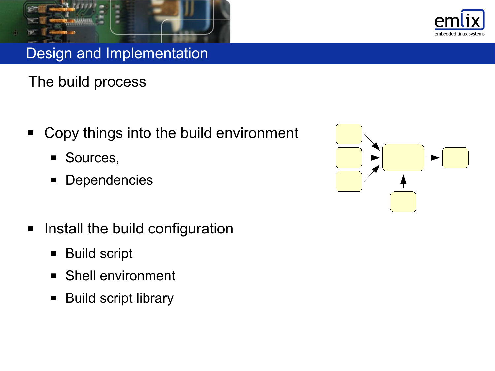



- Copy things into the build environment
	- **Sources,**
	- **Dependencies**
- **Install the build configuration** 
	- **Build script**
	- Shell environment
	- **Build script library**

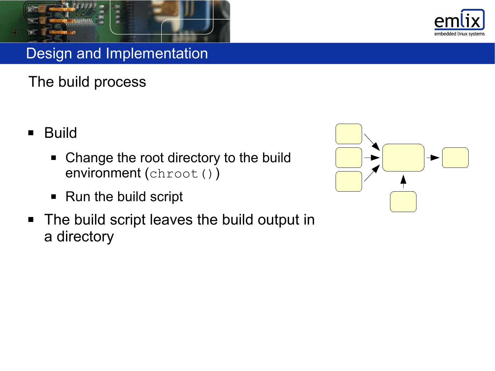

- **Build** 
	- Change the root directory to the build environment (chroot())
	- Run the build script
- The build script leaves the build output in a directory



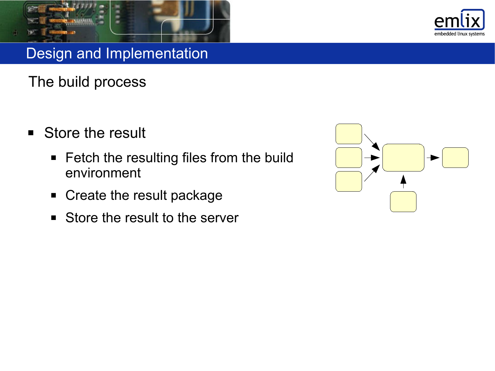



- **Store the result** 
	- **Fetch the resulting files from the build** environment
	- Create the result package
	- Store the result to the server

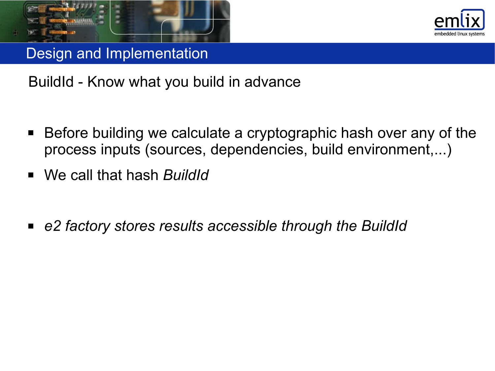



BuildId - Know what you build in advance

- Before building we calculate a cryptographic hash over any of the process inputs (sources, dependencies, build environment,...)
- We call that hash *BuildId*
- *e2 factory stores results accessible through the BuildId*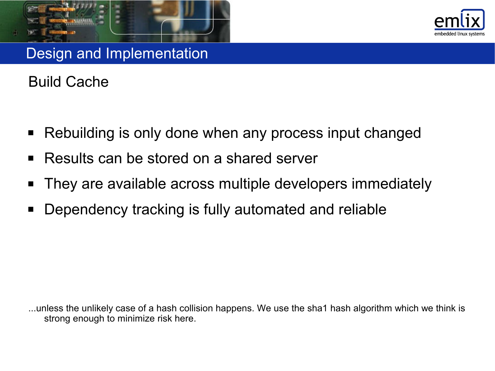



Build Cache

- Rebuilding is only done when any process input changed
- Results can be stored on a shared server
- **They are available across multiple developers immediately**
- Dependency tracking is fully automated and reliable

...unless the unlikely case of a hash collision happens. We use the sha1 hash algorithm which we think is strong enough to minimize risk here.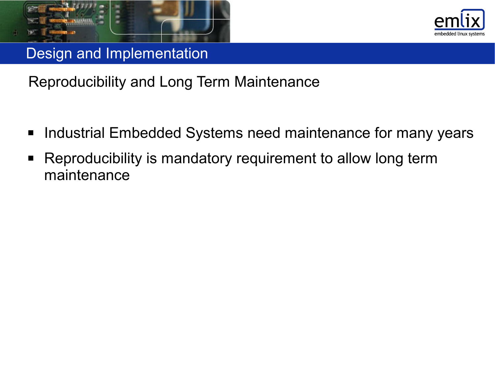



- Industrial Embedded Systems need maintenance for many years
- Reproducibility is mandatory requirement to allow long term maintenance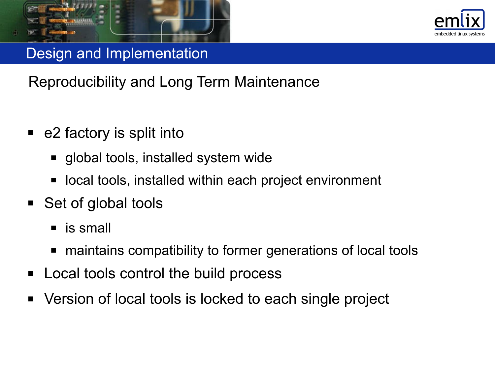



- e2 factory is split into
	- global tools, installed system wide
	- local tools, installed within each project environment
- Set of global tools
	- **is small**
	- maintains compatibility to former generations of local tools
- Local tools control the build process
- Version of local tools is locked to each single project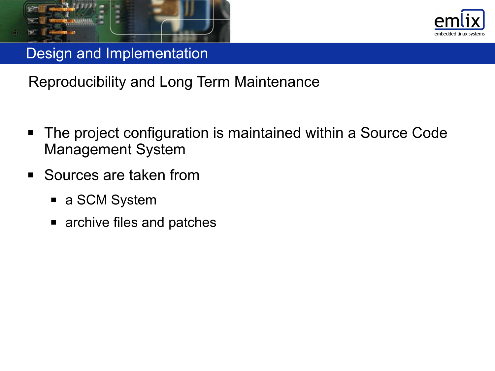



- The project configuration is maintained within a Source Code Management System
- Sources are taken from
	- a SCM System
	- archive files and patches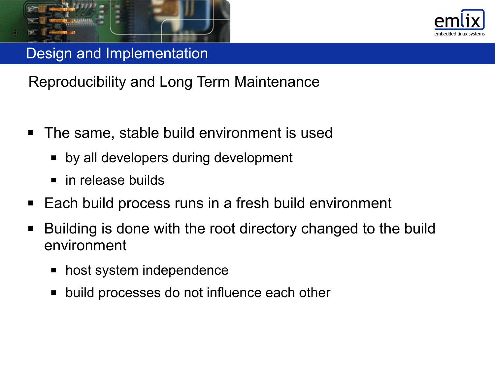



- The same, stable build environment is used
	- by all developers during development
	- in release builds
- Each build process runs in a fresh build environment
- Building is done with the root directory changed to the build environment
	- **host system independence**
	- build processes do not influence each other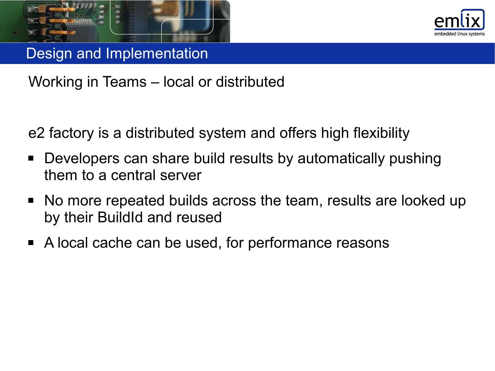



Working in Teams – local or distributed

e2 factory is a distributed system and offers high flexibility

- Developers can share build results by automatically pushing them to a central server
- No more repeated builds across the team, results are looked up by their BuildId and reused
- A local cache can be used, for performance reasons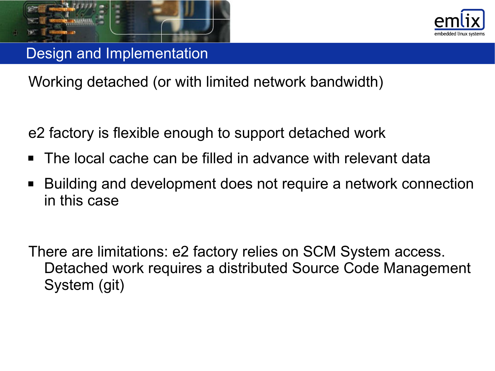



Working detached (or with limited network bandwidth)

e2 factory is flexible enough to support detached work

- The local cache can be filled in advance with relevant data
- Building and development does not require a network connection in this case

There are limitations: e2 factory relies on SCM System access. Detached work requires a distributed Source Code Management System (git)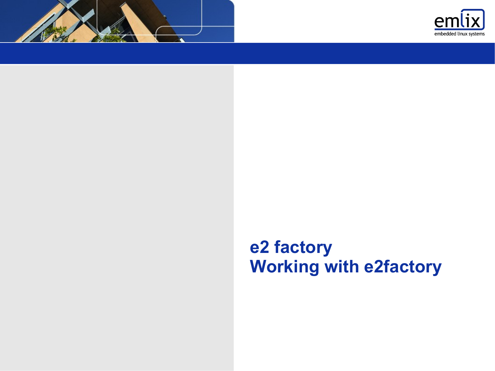



# **e2 factory Working with e2factory**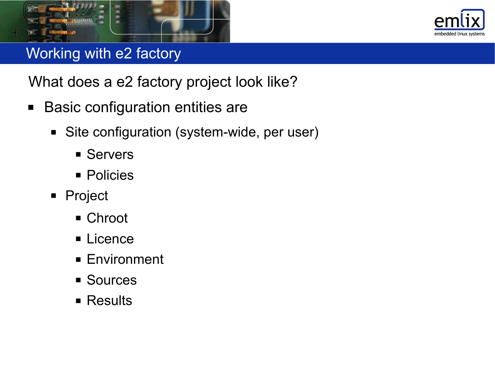



- Basic configuration entities are
	- Site configuration (system-wide, per user)
		- **Servers**
		- **Policies**
	- **Project** 
		- **Chroot**
		- **Licence**
		- **Environment**
		- **Sources**
		- **Results**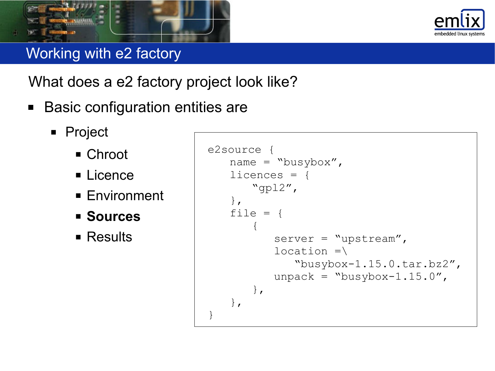



- Basic configuration entities are
	- **Project** 
		- Chroot
		- **ELicence**
		- Environment
		- **Sources**
		- **E** Results

```
e2source {
   name = "busybox",
   licences = {
      "gpl2",
   },
   file = {
       \{server = "upstream",location =\ "busybox-1.15.0.tar.bz2",
          unpack = "busybox-1.15.0",},
   },
}
```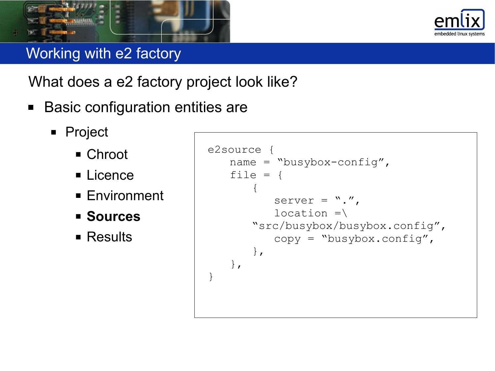



- Basic configuration entities are
	- **Project** 
		- Chroot
		- **Licence**
		- Environment
		- **Sources**
		- **E** Results

```
e2source {
   name = "busybox-config",
   file = {
       \{server = ".",
          location =\"src/busybox/busybox.config",
          copy = "busybox.config",
       },
   },
}
```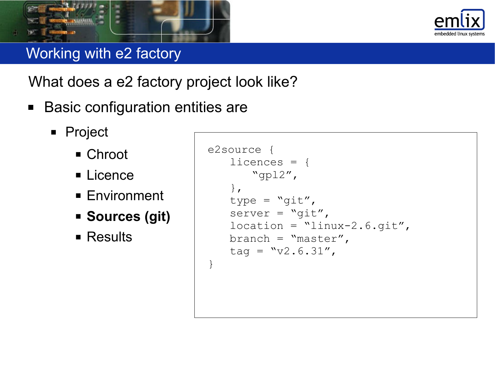



- Basic configuration entities are
	- **Project** 
		- Chroot
		- **ELicence**
		- Environment
		- **Sources (git)**
		- **E** Results

```
e2source {
   licences = {
       "gpl2",
   },
   type = \sqrt{9}it",
   server = \sqrt{9}i^{2},
   location = "linux-2.6.git",branch = "master",tag = "v2.6.31",}
```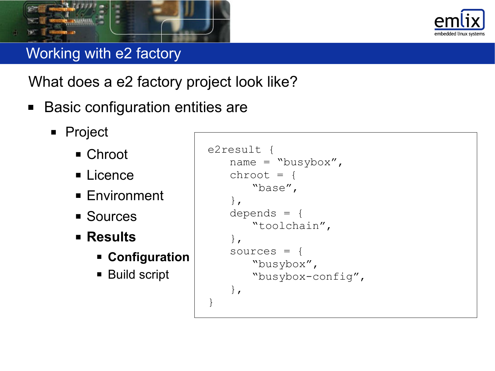



- Basic configuration entities are
	- **Project** 
		- Chroot
		- **ELicence**
		- Environment
		- **Sources**
		- **Results**
			- **Configuration**
			- **Build script**

```
e2result {
   name = "busybox",
   chroot = \{"base",
   },
   depends = {
       "toolchain",
   },
   sources = {
       "busybox",
       "busybox-config",
   },
}
```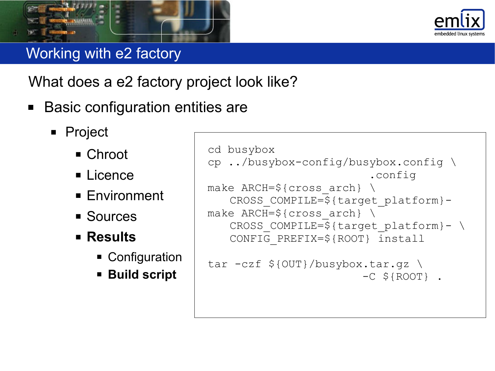

- Basic configuration entities are
	- **Project** 
		- Chroot
		- **Licence**
		- Environment
		- **Sources**
		- **Results**
			- **Configuration**
			- **Build script**

```
cd busybox
cp ../busybox-config/busybox.config \
                           .config
make ARCH=${cross arch} \ \ \ \ \CROSS_COMPILE=${target_platform}-
make ARCH=\frac{5}{2} (cross arch) \
   CROSS COMPILE=${target platform}- \
   CONFIG_PREFIX=${ROOT} install
```

```
tar -czf ${OUT}/busybox.tar.gz \
                        -C ${ROOT} .
```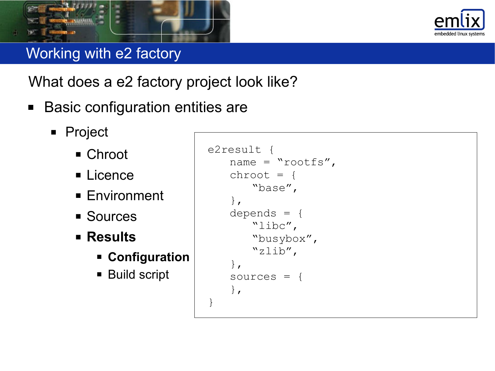



- Basic configuration entities are
	- **Project** 
		- Chroot
		- **ELicence**
		- Environment
		- **Sources**
		- **Results**
			- **Configuration**
			- **Build script**

```
e2result {
   name = "roots",chroot = \{"base",
   },
   depends = {
       "libc",
       "busybox",
       "zlib",
   },
   sources = {
   },
}
```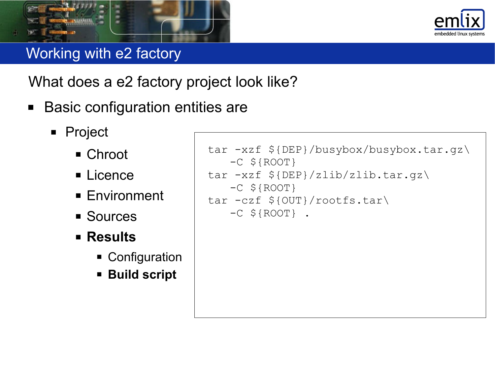



- Basic configuration entities are
	- **Project** 
		- Chroot
		- **ELicence**
		- Environment
		- **Sources**
		- **Results**
			- **Configuration**
			- **Build script**

```
tar -xzf ${DEP}/busybox/busybox.tar.gz\
   -C ${ROOT}
tar -xzf ${DEP}/zlib/zlib.tar.gz\
   -C ${ROOT}
tar -czf ${OUT}/rootfs.tar\
   -C ${ROOT}.
```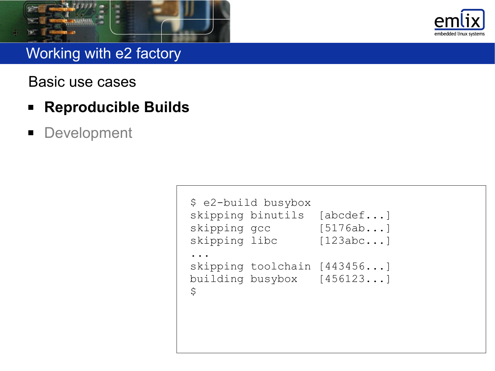



Basic use cases

- **Reproducible Builds**
- **Development**

```
$ e2-build busybox
skipping binutils [abcdef...]
skipping gcc [5176ab...]
skipping libc [123abc...]
...
skipping toolchain [443456...]
building busybox [456123...]
\varsigma
```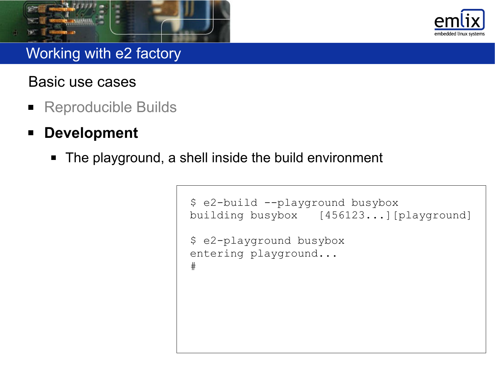



#### Basic use cases

- **Reproducible Builds**
- **Development**
	- The playground, a shell inside the build environment

```
$ e2-build --playground busybox
building busybox [456123...][playground]
$ e2-playground busybox
entering playground...
#
```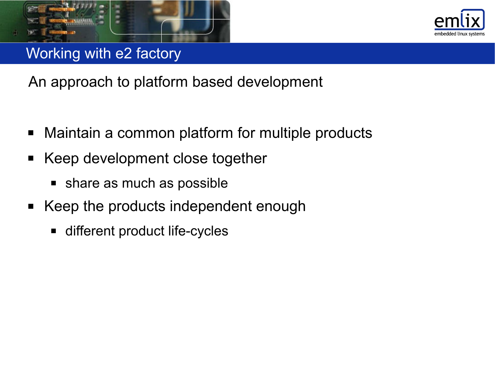



An approach to platform based development

- Maintain a common platform for multiple products
- Keep development close together
	- **share as much as possible**
- Keep the products independent enough
	- different product life-cycles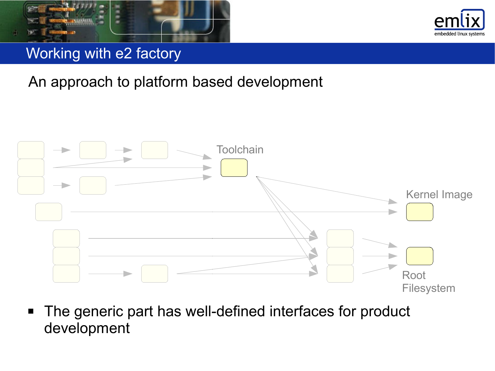



An approach to platform based development



■ The generic part has well-defined interfaces for product development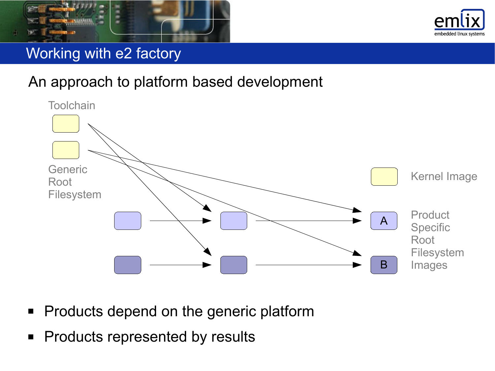



## An approach to platform based development



- **Products depend on the generic platform**
- **Products represented by results**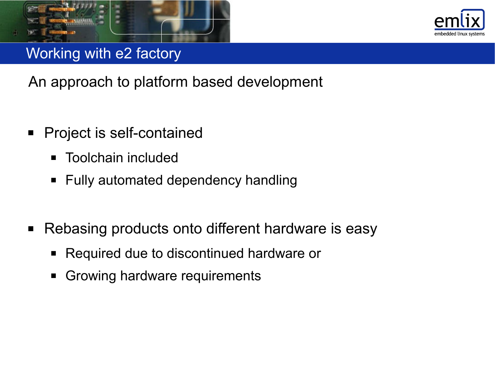



An approach to platform based development

- Project is self-contained
	- **Toolchain included**
	- Fully automated dependency handling
- Rebasing products onto different hardware is easy
	- Required due to discontinued hardware or
	- Growing hardware requirements